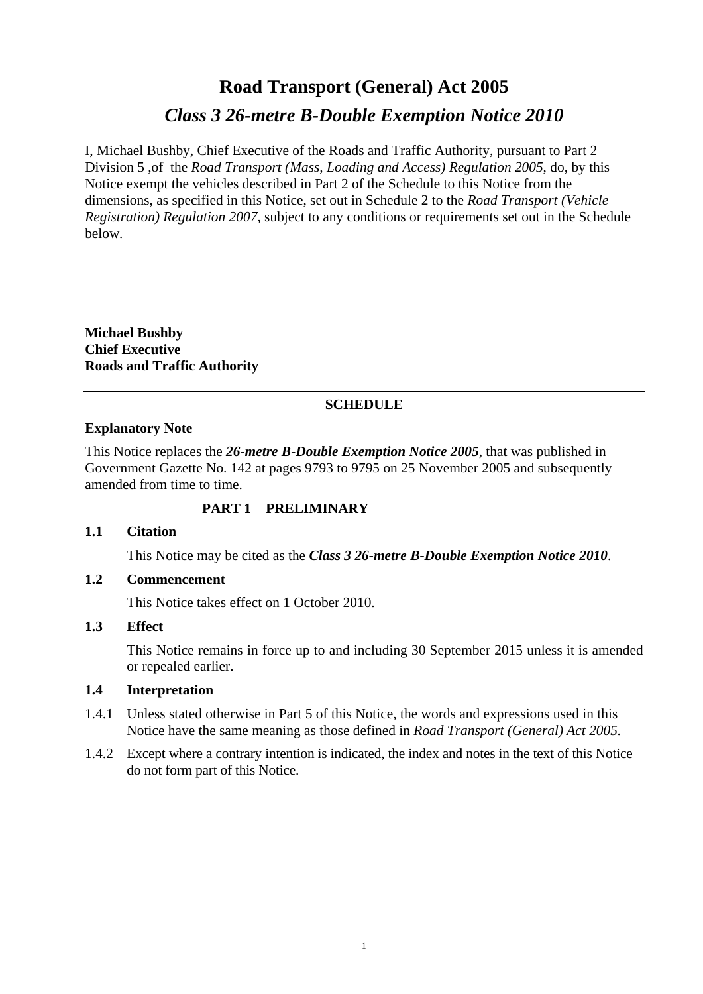# **Road Transport (General) Act 2005**  *Class 3 26-metre B-Double Exemption Notice 2010*

I, Michael Bushby, Chief Executive of the Roads and Traffic Authority, pursuant to Part 2 Division 5 ,of the *Road Transport (Mass, Loading and Access) Regulation 2005*, do, by this Notice exempt the vehicles described in Part 2 of the Schedule to this Notice from the dimensions, as specified in this Notice, set out in Schedule 2 to the *Road Transport (Vehicle Registration) Regulation 2007*, subject to any conditions or requirements set out in the Schedule below*.*

**Michael Bushby Chief Executive Roads and Traffic Authority** 

# **SCHEDULE**

### **Explanatory Note**

This Notice replaces the *26-metre B-Double Exemption Notice 2005*, that was published in Government Gazette No. 142 at pages 9793 to 9795 on 25 November 2005 and subsequently amended from time to time.

# **PART 1 PRELIMINARY**

### **1.1 Citation**

This Notice may be cited as the *Class 3 26-metre B-Double Exemption Notice 2010*.

### **1.2 Commencement**

This Notice takes effect on 1 October 2010.

### **1.3 Effect**

This Notice remains in force up to and including 30 September 2015 unless it is amended or repealed earlier.

### **1.4 Interpretation**

- 1.4.1 Unless stated otherwise in Part 5 of this Notice, the words and expressions used in this Notice have the same meaning as those defined in *Road Transport (General) Act 2005.*
- 1.4.2 Except where a contrary intention is indicated, the index and notes in the text of this Notice do not form part of this Notice.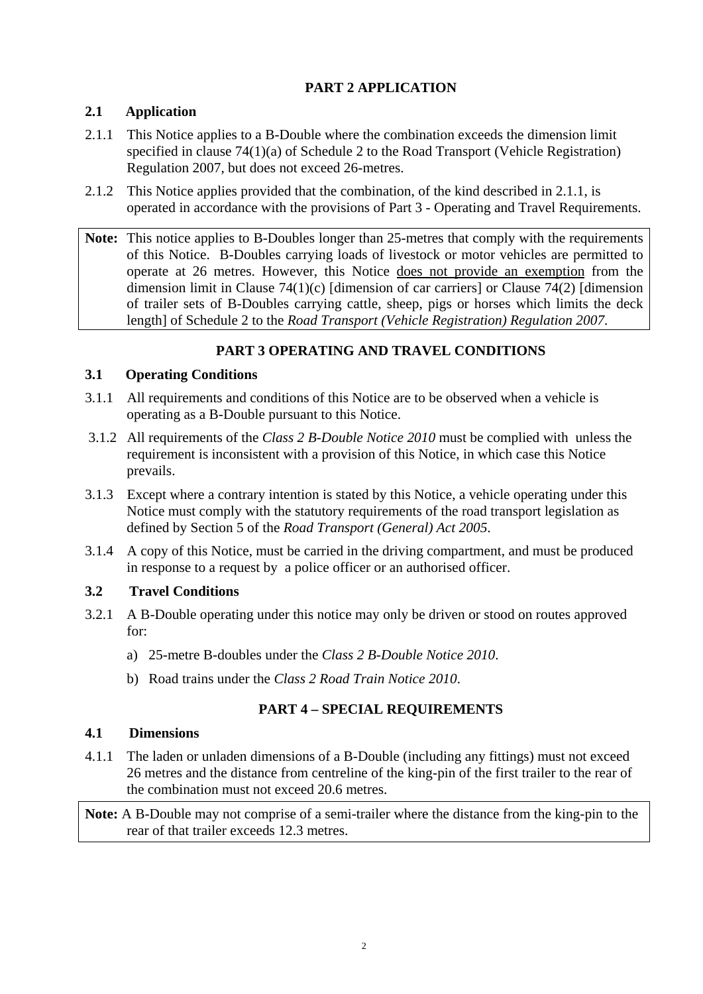# **PART 2 APPLICATION**

# **2.1 Application**

- 2.1.1 This Notice applies to a B-Double where the combination exceeds the dimension limit specified in clause 74(1)(a) of Schedule 2 to the Road Transport (Vehicle Registration) Regulation 2007, but does not exceed 26-metres.
- 2.1.2 This Notice applies provided that the combination, of the kind described in 2.1.1, is operated in accordance with the provisions of Part 3 - Operating and Travel Requirements.
- **Note:** This notice applies to B-Doubles longer than 25-metres that comply with the requirements of this Notice. B-Doubles carrying loads of livestock or motor vehicles are permitted to operate at 26 metres. However, this Notice does not provide an exemption from the dimension limit in Clause 74(1)(c) [dimension of car carriers] or Clause 74(2) [dimension of trailer sets of B-Doubles carrying cattle, sheep, pigs or horses which limits the deck length] of Schedule 2 to the *Road Transport (Vehicle Registration) Regulation 2007*.

# **PART 3 OPERATING AND TRAVEL CONDITIONS**

# **3.1 Operating Conditions**

- 3.1.1 All requirements and conditions of this Notice are to be observed when a vehicle is operating as a B-Double pursuant to this Notice.
- 3.1.2 All requirements of the *Class 2 B-Double Notice 2010* must be complied with unless the requirement is inconsistent with a provision of this Notice, in which case this Notice prevails.
- 3.1.3 Except where a contrary intention is stated by this Notice, a vehicle operating under this Notice must comply with the statutory requirements of the road transport legislation as defined by Section 5 of the *Road Transport (General) Act 2005*.
- 3.1.4 A copy of this Notice, must be carried in the driving compartment, and must be produced in response to a request by a police officer or an authorised officer.

# **3.2 Travel Conditions**

- 3.2.1 A B-Double operating under this notice may only be driven or stood on routes approved for:
	- a) 25-metre B-doubles under the *Class 2 B-Double Notice 2010*.
	- b) Road trains under the *Class 2 Road Train Notice 2010*.

# **PART 4 – SPECIAL REQUIREMENTS**

# **4.1 Dimensions**

4.1.1 The laden or unladen dimensions of a B-Double (including any fittings) must not exceed 26 metres and the distance from centreline of the king-pin of the first trailer to the rear of the combination must not exceed 20.6 metres.

**Note:** A B-Double may not comprise of a semi-trailer where the distance from the king-pin to the rear of that trailer exceeds 12.3 metres.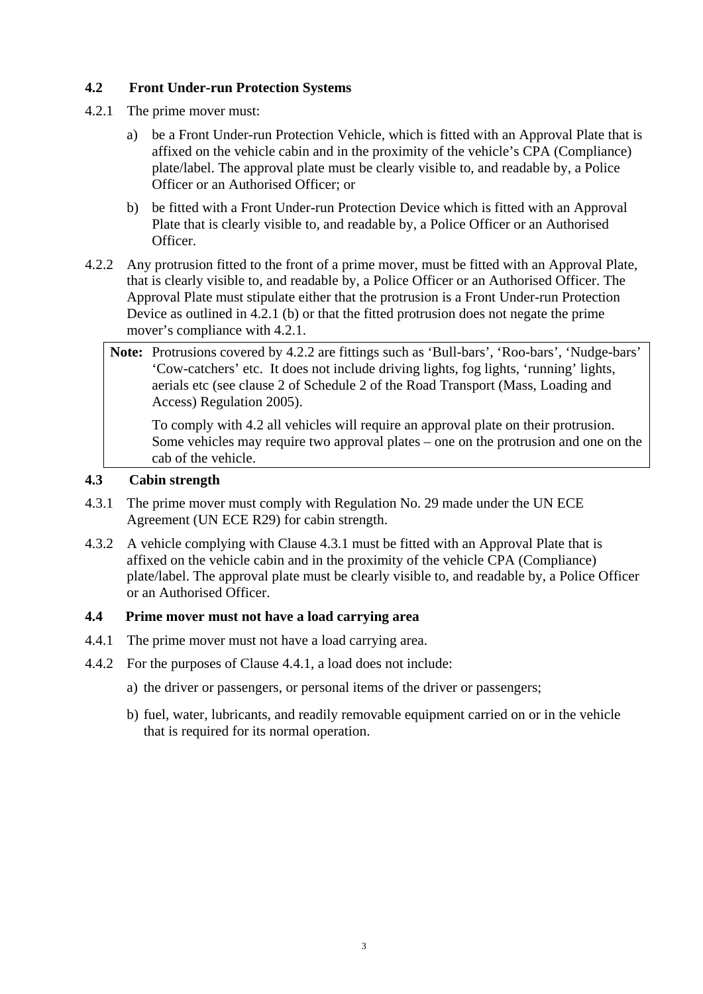# **4.2 Front Under-run Protection Systems**

- 4.2.1 The prime mover must:
	- a) be a Front Under-run Protection Vehicle, which is fitted with an Approval Plate that is affixed on the vehicle cabin and in the proximity of the vehicle's CPA (Compliance) plate/label. The approval plate must be clearly visible to, and readable by, a Police Officer or an Authorised Officer; or
	- b) be fitted with a Front Under-run Protection Device which is fitted with an Approval Plate that is clearly visible to, and readable by, a Police Officer or an Authorised Officer.
- 4.2.2 Any protrusion fitted to the front of a prime mover, must be fitted with an Approval Plate, that is clearly visible to, and readable by, a Police Officer or an Authorised Officer. The Approval Plate must stipulate either that the protrusion is a Front Under-run Protection Device as outlined in 4.2.1 (b) or that the fitted protrusion does not negate the prime mover's compliance with 4.2.1.
	- **Note:** Protrusions covered by 4.2.2 are fittings such as 'Bull-bars', 'Roo-bars', 'Nudge-bars' 'Cow-catchers' etc. It does not include driving lights, fog lights, 'running' lights, aerials etc (see clause 2 of Schedule 2 of the Road Transport (Mass, Loading and Access) Regulation 2005).

 To comply with 4.2 all vehicles will require an approval plate on their protrusion. Some vehicles may require two approval plates – one on the protrusion and one on the cab of the vehicle.

### **4.3 Cabin strength**

- 4.3.1 The prime mover must comply with Regulation No. 29 made under the UN ECE Agreement (UN ECE R29) for cabin strength.
- 4.3.2 A vehicle complying with Clause 4.3.1 must be fitted with an Approval Plate that is affixed on the vehicle cabin and in the proximity of the vehicle CPA (Compliance) plate/label. The approval plate must be clearly visible to, and readable by, a Police Officer or an Authorised Officer.

### **4.4 Prime mover must not have a load carrying area**

- 4.4.1 The prime mover must not have a load carrying area.
- 4.4.2 For the purposes of Clause 4.4.1, a load does not include:
	- a) the driver or passengers, or personal items of the driver or passengers;
	- b) fuel, water, lubricants, and readily removable equipment carried on or in the vehicle that is required for its normal operation.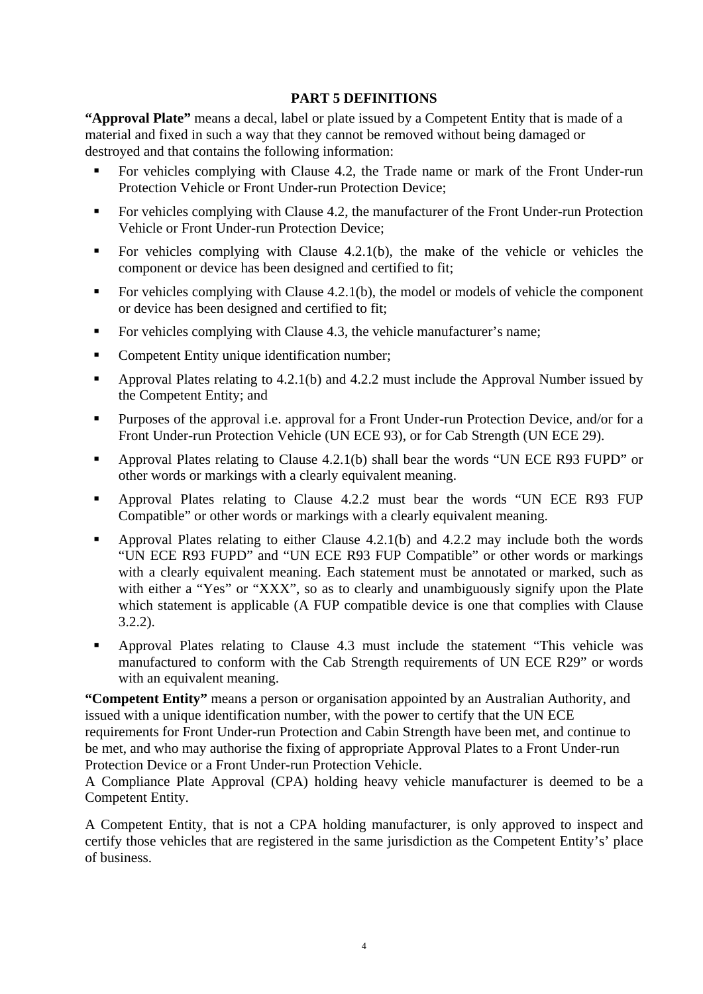### **PART 5 DEFINITIONS**

**"Approval Plate"** means a decal, label or plate issued by a Competent Entity that is made of a material and fixed in such a way that they cannot be removed without being damaged or destroyed and that contains the following information:

- For vehicles complying with Clause 4.2, the Trade name or mark of the Front Under-run Protection Vehicle or Front Under-run Protection Device;
- For vehicles complying with Clause 4.2, the manufacturer of the Front Under-run Protection Vehicle or Front Under-run Protection Device;
- For vehicles complying with Clause 4.2.1(b), the make of the vehicle or vehicles the component or device has been designed and certified to fit;
- For vehicles complying with Clause 4.2.1(b), the model or models of vehicle the component or device has been designed and certified to fit;
- For vehicles complying with Clause 4.3, the vehicle manufacturer's name;
- Competent Entity unique identification number;
- Approval Plates relating to 4.2.1(b) and 4.2.2 must include the Approval Number issued by the Competent Entity; and
- **Purposes of the approval i.e. approval for a Front Under-run Protection Device, and/or for a** Front Under-run Protection Vehicle (UN ECE 93), or for Cab Strength (UN ECE 29).
- Approval Plates relating to Clause 4.2.1(b) shall bear the words "UN ECE R93 FUPD" or other words or markings with a clearly equivalent meaning.
- Approval Plates relating to Clause 4.2.2 must bear the words "UN ECE R93 FUP Compatible" or other words or markings with a clearly equivalent meaning.
- Approval Plates relating to either Clause  $4.2.1(b)$  and  $4.2.2$  may include both the words "UN ECE R93 FUPD" and "UN ECE R93 FUP Compatible" or other words or markings with a clearly equivalent meaning. Each statement must be annotated or marked, such as with either a "Yes" or "XXX", so as to clearly and unambiguously signify upon the Plate which statement is applicable (A FUP compatible device is one that complies with Clause 3.2.2).
- Approval Plates relating to Clause 4.3 must include the statement "This vehicle was manufactured to conform with the Cab Strength requirements of UN ECE R29" or words with an equivalent meaning.

**"Competent Entity"** means a person or organisation appointed by an Australian Authority, and issued with a unique identification number, with the power to certify that the UN ECE requirements for Front Under-run Protection and Cabin Strength have been met, and continue to be met, and who may authorise the fixing of appropriate Approval Plates to a Front Under-run Protection Device or a Front Under-run Protection Vehicle.

A Compliance Plate Approval (CPA) holding heavy vehicle manufacturer is deemed to be a Competent Entity.

A Competent Entity, that is not a CPA holding manufacturer, is only approved to inspect and certify those vehicles that are registered in the same jurisdiction as the Competent Entity's' place of business.